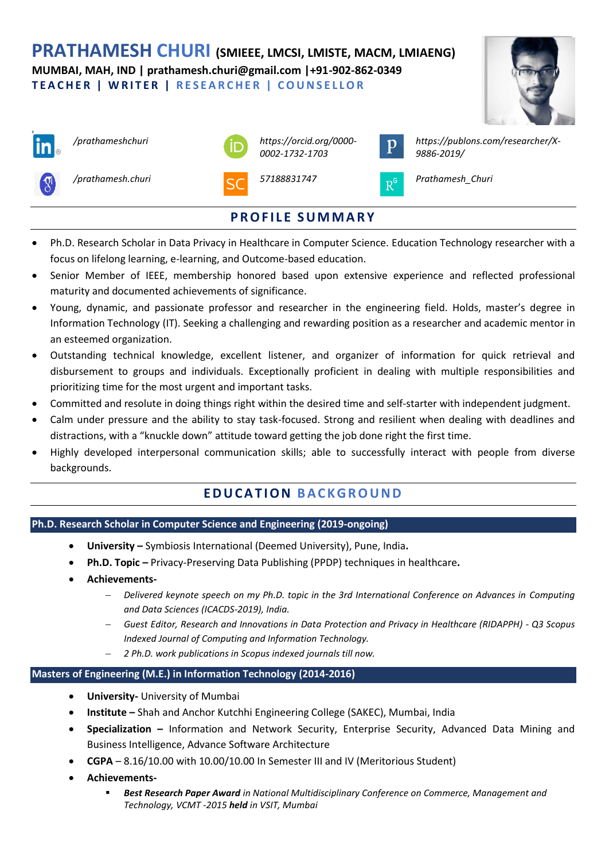**PRATHAMESH CHURI (SMIEEE, LMCSI, LMISTE, MACM, LMIAENG) MUMBAI, MAH, IND | prathamesh.churi@gmail.com |+91-902-862-0349 T E A C H E R | W R I T E R | R E S E A R C H E R | C O U N S E L L O R**





- Ph.D. Research Scholar in Data Privacy in Healthcare in Computer Science. Education Technology researcher with a focus on lifelong learning, e-learning, and Outcome-based education.
- Senior Member of IEEE, membership honored based upon extensive experience and reflected professional maturity and documented achievements of significance.
- Young, dynamic, and passionate professor and researcher in the engineering field. Holds, master's degree in Information Technology (IT). Seeking a challenging and rewarding position as a researcher and academic mentor in an esteemed organization.
- Outstanding technical knowledge, excellent listener, and organizer of information for quick retrieval and disbursement to groups and individuals. Exceptionally proficient in dealing with multiple responsibilities and prioritizing time for the most urgent and important tasks.
- Committed and resolute in doing things right within the desired time and self-starter with independent judgment.
- Calm under pressure and the ability to stay task-focused. Strong and resilient when dealing with deadlines and distractions, with a "knuckle down" attitude toward getting the job done right the first time.
- Highly developed interpersonal communication skills; able to successfully interact with people from diverse backgrounds.

# **E D U C A T I O N BA C K G R O U N D**

#### **Ph.D. Research Scholar in Computer Science and Engineering (2019-ongoing)**

- **University –** Symbiosis International (Deemed University), Pune, India**.**
- **Ph.D. Topic –** Privacy-Preserving Data Publishing (PPDP) techniques in healthcare**.**
- **Achievements-** 
	- − *Delivered keynote speech on my Ph.D. topic in the 3rd International Conference on Advances in Computing and Data Sciences (ICACDS-2019), India.*
	- − *Guest Editor, Research and Innovations in Data Protection and Privacy in Healthcare (RIDAPPH) - Q3 Scopus Indexed Journal of Computing and Information Technology.*
	- − *2 Ph.D. work publications in Scopus indexed journals till now.*

## **Masters of Engineering (M.E.) in Information Technology (2014-2016)**

- **University-** University of Mumbai
- **Institute –** Shah and Anchor Kutchhi Engineering College (SAKEC), Mumbai, India
- **Specialization –** Information and Network Security, Enterprise Security, Advanced Data Mining and Business Intelligence, Advance Software Architecture
- **CGPA**  8.16/10.00 with 10.00/10.00 In Semester III and IV (Meritorious Student)
- **Achievements-** 
	- **Best Research Paper Award** in National Multidisciplinary Conference on Commerce, Management and *Technology, VCMT -2015 held in VSIT, Mumbai*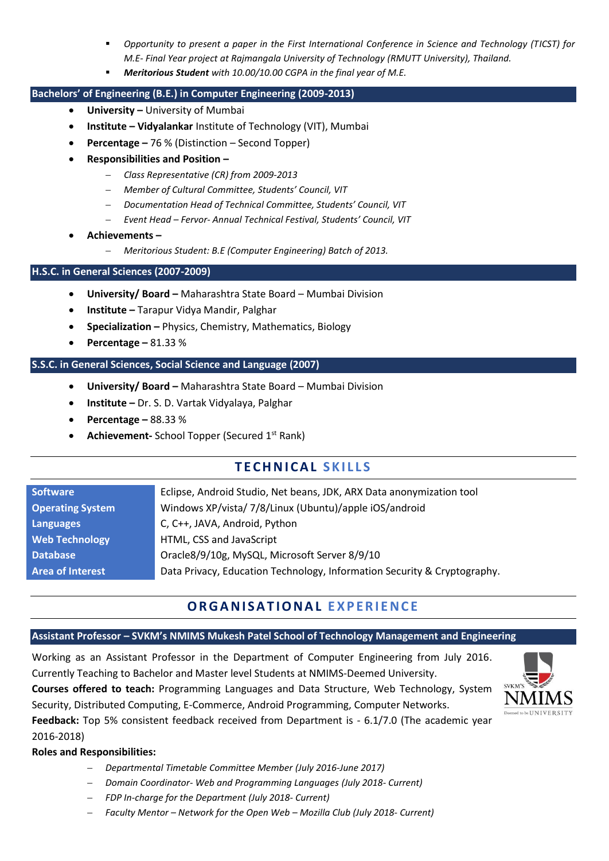- *Opportunity to present a paper in the First International Conference in Science and Technology (TICST) for M.E- Final Year project at Rajmangala University of Technology (RMUTT University), Thailand.*
- *Meritorious Student with 10.00/10.00 CGPA in the final year of M.E.*

#### **Bachelors' of Engineering (B.E.) in Computer Engineering (2009-2013)**

- **University –** University of Mumbai
- **Institute – Vidyalankar** Institute of Technology (VIT), Mumbai
- **Percentage –** 76 % (Distinction Second Topper)
- **Responsibilities and Position –**
	- − *Class Representative (CR) from 2009-2013*
	- − *Member of Cultural Committee, Students' Council, VIT*
	- − *Documentation Head of Technical Committee, Students' Council, VIT*
	- − *Event Head – Fervor- Annual Technical Festival, Students' Council, VIT*
- **Achievements –**
	- − *Meritorious Student: B.E (Computer Engineering) Batch of 2013.*

#### **H.S.C. in General Sciences (2007-2009)**

- **University/ Board –** Maharashtra State Board Mumbai Division
- **Institute –** Tarapur Vidya Mandir, Palghar
- **Specialization –** Physics, Chemistry, Mathematics, Biology
- **Percentage –** 81.33 %

#### **S.S.C. in General Sciences, Social Science and Language (2007)**

- **University/ Board –** Maharashtra State Board Mumbai Division
- **Institute –** Dr. S. D. Vartak Vidyalaya, Palghar
- **Percentage –** 88.33 %
- **Achievement-** School Topper (Secured 1<sup>st</sup> Rank)

## **T E C H N I C A L S K I L L S**

| <b>Software</b>         | Eclipse, Android Studio, Net beans, JDK, ARX Data anonymization tool     |
|-------------------------|--------------------------------------------------------------------------|
| <b>Operating System</b> | Windows XP/vista/ 7/8/Linux (Ubuntu)/apple iOS/android                   |
| <b>Languages</b>        | C, C++, JAVA, Android, Python                                            |
| <b>Web Technology</b>   | HTML, CSS and JavaScript                                                 |
| <b>Database</b>         | Oracle8/9/10g, MySQL, Microsoft Server 8/9/10                            |
| <b>Area of Interest</b> | Data Privacy, Education Technology, Information Security & Cryptography. |

## **OR G A N I S A T I O N A L E X P E R I E N C E**

#### **Assistant Professor – SVKM's NMIMS Mukesh Patel School of Technology Management and Engineering**

Working as an Assistant Professor in the Department of Computer Engineering from July 2016. Currently Teaching to Bachelor and Master level Students at NMIMS-Deemed University.

**Courses offered to teach:** Programming Languages and Data Structure, Web Technology, System Security, Distributed Computing, E-Commerce, Android Programming, Computer Networks.

**Feedback:** Top 5% consistent feedback received from Department is - 6.1/7.0 (The academic year 2016-2018)

#### **Roles and Responsibilities:**

- − *Departmental Timetable Committee Member (July 2016-June 2017)*
- − *Domain Coordinator- Web and Programming Languages (July 2018- Current)*
- − *FDP In-charge for the Department (July 2018- Current)*
- − *Faculty Mentor – Network for the Open Web – Mozilla Club (July 2018- Current)*

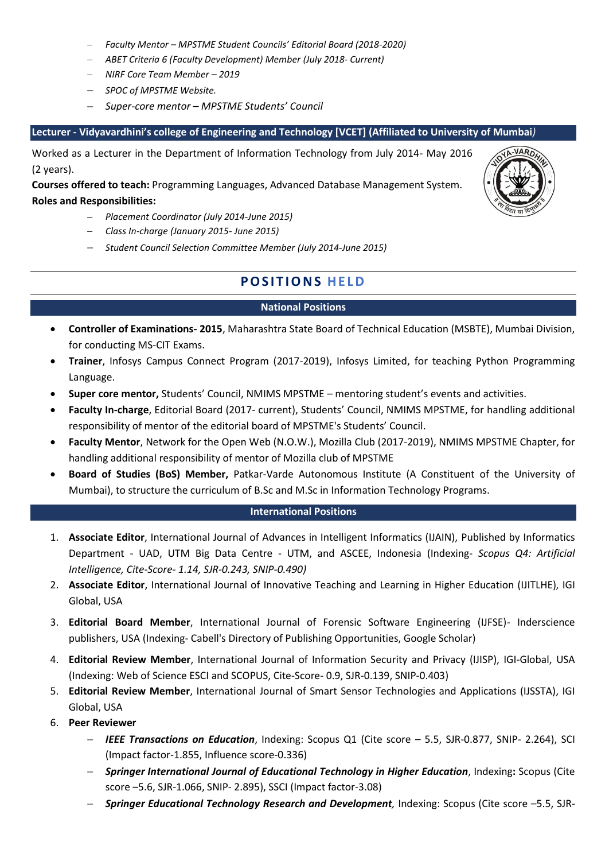- − *Faculty Mentor – MPSTME Student Councils' Editorial Board (2018-2020)*
- − *ABET Criteria 6 (Faculty Development) Member (July 2018- Current)*
- − *NIRF Core Team Member – 2019*
- − *SPOC of MPSTME Website.*
- − *Super-core mentor – MPSTME Students' Council*

#### **Lecturer - Vidyavardhini's college of Engineering and Technology [VCET] (Affiliated to University of Mumbai***)*

Worked as a Lecturer in the Department of Information Technology from July 2014- May 2016 (2 years).

**Courses offered to teach:** Programming Languages, Advanced Database Management System. **Roles and Responsibilities:** 

- − *Placement Coordinator (July 2014-June 2015)*
- − *Class In-charge (January 2015- June 2015)*
- − *Student Council Selection Committee Member (July 2014-June 2015)*

## **POSITIONS HELD**

#### **National Positions**

- **Controller of Examinations- 2015**, Maharashtra State Board of Technical Education (MSBTE), Mumbai Division, for conducting MS-CIT Exams.
- **Trainer**, Infosys Campus Connect Program (2017-2019), Infosys Limited, for teaching Python Programming Language.
- **Super core mentor,** Students' Council, NMIMS MPSTME mentoring student's events and activities.
- **Faculty In-charge**, Editorial Board (2017- current), Students' Council, NMIMS MPSTME, for handling additional responsibility of mentor of the editorial board of MPSTME's Students' Council.
- **Faculty Mentor**, Network for the Open Web (N.O.W.), Mozilla Club (2017-2019), NMIMS MPSTME Chapter, for handling additional responsibility of mentor of Mozilla club of MPSTME
- **Board of Studies (BoS) Member,** Patkar-Varde Autonomous Institute (A Constituent of the University of Mumbai), to structure the curriculum of B.Sc and M.Sc in Information Technology Programs.

#### **International Positions**

- 1. **Associate Editor**, International Journal of Advances in Intelligent Informatics (IJAIN), Published by Informatics Department - UAD, UTM Big Data Centre - UTM, and ASCEE, Indonesia (Indexing- *Scopus Q4: Artificial Intelligence, Cite-Score- 1.14, SJR-0.243, SNIP-0.490)*
- 2. **Associate Editor**, International Journal of Innovative Teaching and Learning in Higher Education (IJITLHE)*,* IGI Global, USA
- 3. **Editorial Board Member**, International Journal of Forensic Software Engineering (IJFSE)- Inderscience publishers, USA (Indexing- Cabell's Directory of Publishing Opportunities, Google Scholar)
- 4. **Editorial Review Member**, International Journal of Information Security and Privacy (IJISP), IGI-Global, USA (Indexing: Web of Science ESCI and SCOPUS, Cite-Score- 0.9, SJR-0.139, SNIP-0.403)
- 5. **Editorial Review Member**, International Journal of Smart Sensor Technologies and Applications (IJSSTA), IGI Global, USA
- 6. **Peer Reviewer**
	- − *IEEE Transactions on Education*, Indexing: Scopus Q1 (Cite score 5.5, SJR-0.877, SNIP- 2.264), SCI (Impact factor-1.855, Influence score-0.336)
	- − *Springer International Journal of Educational Technology in Higher Education*, Indexing**:** Scopus (Cite score –5.6, SJR-1.066, SNIP- 2.895), SSCI (Impact factor-3.08)
	- − *Springer Educational Technology Research and Development,* Indexing: Scopus (Cite score –5.5, SJR-

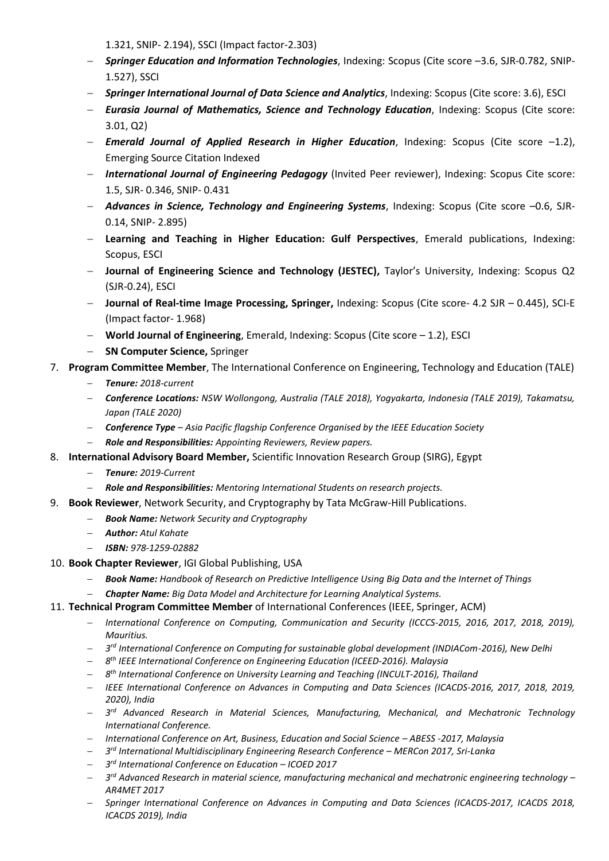1.321, SNIP- 2.194), SSCI (Impact factor-2.303)

- − *Springer Education and Information Technologies*, Indexing: Scopus (Cite score –3.6, SJR-0.782, SNIP-1.527), SSCI
- − *Springer International Journal of Data Science and Analytics*, Indexing: Scopus (Cite score: 3.6), ESCI
- − *Eurasia Journal of Mathematics, Science and Technology Education*, Indexing: Scopus (Cite score: 3.01, Q2)
- − *Emerald Journal of Applied Research in Higher Education*, Indexing: Scopus (Cite score –1.2), Emerging Source Citation Indexed
- − *International Journal of Engineering Pedagogy* (Invited Peer reviewer), Indexing: Scopus Cite score: 1.5, SJR- 0.346, SNIP- 0.431
- − *Advances in Science, Technology and Engineering Systems*, Indexing: Scopus (Cite score –0.6, SJR-0.14, SNIP- 2.895)
- − **Learning and Teaching in Higher Education: Gulf Perspectives**, Emerald publications, Indexing: Scopus, ESCI
- − **Journal of Engineering Science and Technology (JESTEC),** Taylor's University, Indexing: Scopus Q2 (SJR-0.24), ESCI
- − **Journal of Real-time Image Processing, Springer,** Indexing: Scopus (Cite score- 4.2 SJR 0.445), SCI-E (Impact factor- 1.968)
- − **World Journal of Engineering**, Emerald, Indexing: Scopus (Cite score 1.2), ESCI
- − **SN Computer Science,** Springer
- 7. **Program Committee Member**, The International Conference on Engineering, Technology and Education (TALE)
	- − *Tenure: 2018-current*
	- − *Conference Locations: NSW Wollongong, Australia (TALE 2018), Yogyakarta, Indonesia (TALE 2019), Takamatsu, Japan (TALE 2020)*
	- − *Conference Type – Asia Pacific flagship Conference Organised by the IEEE Education Society*
	- − *Role and Responsibilities: Appointing Reviewers, Review papers.*
- 8. **International Advisory Board Member,** Scientific Innovation Research Group (SIRG), Egypt
	- − *Tenure: 2019-Current*
	- − *Role and Responsibilities: Mentoring International Students on research projects.*
- 9. **Book Reviewer**, Network Security, and Cryptography by Tata McGraw-Hill Publications.
	- − *Book Name: Network Security and Cryptography*
	- − *Author: Atul Kahate*
	- − *ISBN: 978-1259-02882*
- 10. **Book Chapter Reviewer**, IGI Global Publishing, USA
	- − *Book Name: Handbook of Research on Predictive Intelligence Using Big Data and the Internet of Things*
	- − *Chapter Name: Big Data Model and Architecture for Learning Analytical Systems.*
- 11. **Technical Program Committee Member** of International Conferences (IEEE, Springer, ACM)
	- − *International Conference on Computing, Communication and Security (ICCCS-2015, 2016, 2017, 2018, 2019), Mauritius.*
	- − *3 rd International Conference on Computing for sustainable global development (INDIACom-2016), New Delhi*
	- − *8 th IEEE International Conference on Engineering Education (ICEED-2016). Malaysia*
	- − *8 th International Conference on University Learning and Teaching (INCULT-2016), Thailand*
	- − *IEEE International Conference on Advances in Computing and Data Sciences (ICACDS-2016, 2017, 2018, 2019, 2020), India*
	- − *3 rd Advanced Research in Material Sciences, Manufacturing, Mechanical, and Mechatronic Technology International Conference.*
	- − *International Conference on Art, Business, Education and Social Science – ABESS -2017, Malaysia*
	- − *3 rd International Multidisciplinary Engineering Research Conference – MERCon 2017, Sri-Lanka*
	- − *3 rd International Conference on Education – ICOED 2017*
	- − *3 rd Advanced Research in material science, manufacturing mechanical and mechatronic engineering technology – AR4MET 2017*
	- − *Springer International Conference on Advances in Computing and Data Sciences (ICACDS-2017, ICACDS 2018, ICACDS 2019), India*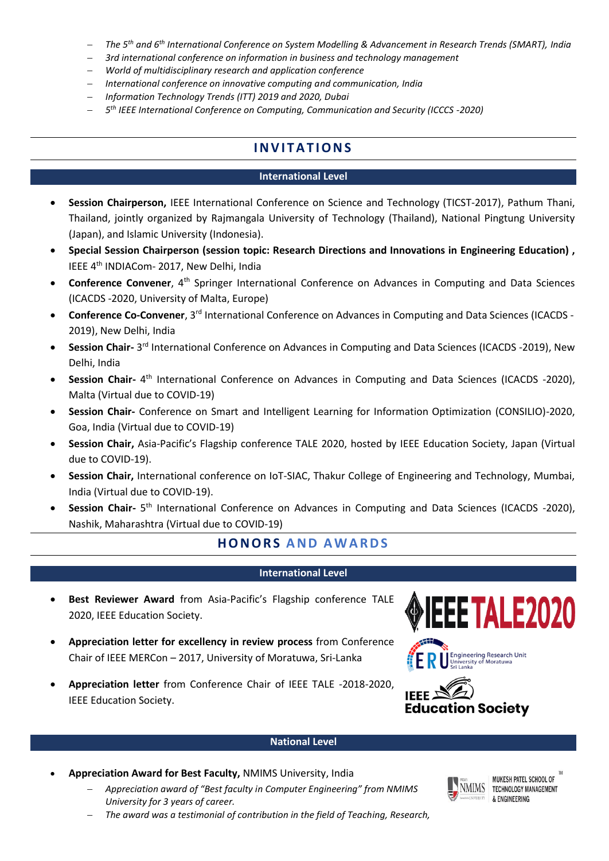- − *The 5th and 6th International Conference on System Modelling & Advancement in Research Trends (SMART), India*
- − *3rd international conference on information in business and technology management*
- − *World of multidisciplinary research and application conference*
- − *International conference on innovative computing and communication, India*
- − *Information Technology Trends (ITT) 2019 and 2020, Dubai*
- − *5 th IEEE International Conference on Computing, Communication and Security (ICCCS -2020)*

# **IN V I T A T I O N S**

#### **International Level**

- **Session Chairperson,** IEEE International Conference on Science and Technology (TICST-2017), Pathum Thani, Thailand, jointly organized by Rajmangala University of Technology (Thailand), National Pingtung University (Japan), and Islamic University (Indonesia).
- **Special Session Chairperson (session topic: Research Directions and Innovations in Engineering Education) ,** IEEE 4th INDIACom- 2017, New Delhi, India
- **Conference Convener**, 4th Springer International Conference on Advances in Computing and Data Sciences (ICACDS -2020, University of Malta, Europe)
- **Conference Co-Convener**, 3rd International Conference on Advances in Computing and Data Sciences (ICACDS 2019), New Delhi, India
- **Session Chair-** 3<sup>rd</sup> International Conference on Advances in Computing and Data Sciences (ICACDS -2019), New Delhi, India
- **Session Chair-** 4<sup>th</sup> International Conference on Advances in Computing and Data Sciences (ICACDS -2020), Malta (Virtual due to COVID-19)
- **Session Chair-** Conference on Smart and Intelligent Learning for Information Optimization (CONSILIO)-2020, Goa, India (Virtual due to COVID-19)
- **Session Chair,** Asia-Pacific's Flagship conference TALE 2020, hosted by IEEE Education Society, Japan (Virtual due to COVID-19).
- **Session Chair,** International conference on IoT-SIAC, Thakur College of Engineering and Technology, Mumbai, India (Virtual due to COVID-19).
- **Session Chair-** 5<sup>th</sup> International Conference on Advances in Computing and Data Sciences (ICACDS -2020), Nashik, Maharashtra (Virtual due to COVID-19)

## **H O N OR S A N D A W A R D S**

### **International Level**

- **Best Reviewer Award** from Asia-Pacific's Flagship conference TALE 2020, IEEE Education Society.
- **Appreciation letter for excellency in review process** from Conference Chair of IEEE MERCon – 2017, University of Moratuwa, Sri-Lanka
- **Appreciation letter** from Conference Chair of IEEE TALE -2018-2020, IEEE Education Society.







### **National Level**

- **Appreciation Award for Best Faculty,** NMIMS University, India
	- − *Appreciation award of "Best faculty in Computer Engineering" from NMIMS University for 3 years of career.*
	- − *The award was a testimonial of contribution in the field of Teaching, Research,*



MUKESH PATEL SCHOOL OF TECHNOLOGY MANAGEMENT & ENGINEERING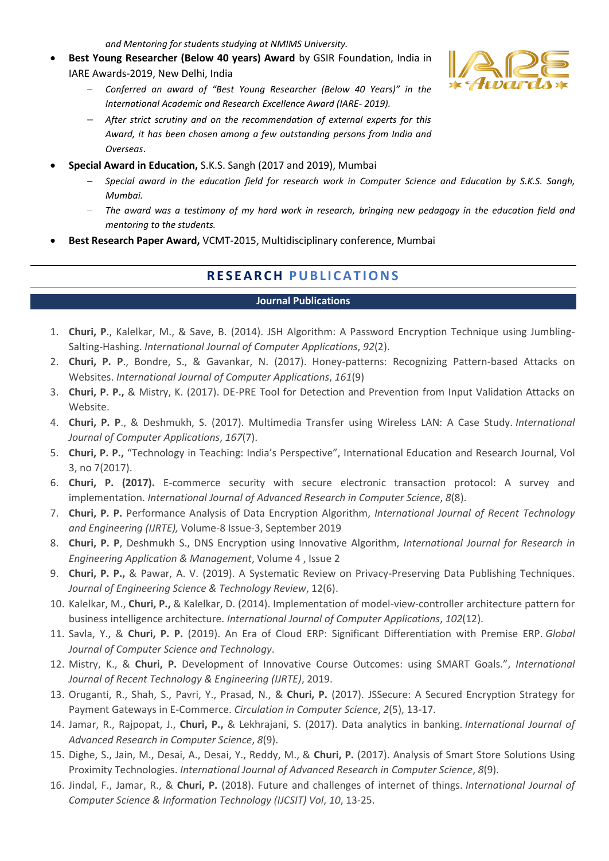*and Mentoring for students studying at NMIMS University.* 

- **Best Young Researcher (Below 40 years) Award** by GSIR Foundation, India in IARE Awards-2019, New Delhi, India
	- − *Conferred an award of "Best Young Researcher (Below 40 Years)" in the International Academic and Research Excellence Award (IARE- 2019).*
	- − *After strict scrutiny and on the recommendation of external experts for this Award, it has been chosen among a few outstanding persons from India and Overseas*.
- **Special Award in Education,** S.K.S. Sangh (2017 and 2019), Mumbai
	- − *Special award in the education field for research work in Computer Science and Education by S.K.S. Sangh, Mumbai.*
	- − *The award was a testimony of my hard work in research, bringing new pedagogy in the education field and mentoring to the students.*
- **Best Research Paper Award,** VCMT-2015, Multidisciplinary conference, Mumbai

# **RE S E A R C H P U B L I C A T IONS**

#### **Journal Publications**

- 1. **Churi, P**., Kalelkar, M., & Save, B. (2014). JSH Algorithm: A Password Encryption Technique using Jumbling-Salting-Hashing. *International Journal of Computer Applications*, *92*(2).
- 2. **Churi, P. P**., Bondre, S., & Gavankar, N. (2017). Honey-patterns: Recognizing Pattern-based Attacks on Websites. *International Journal of Computer Applications*, *161*(9)
- 3. **Churi, P. P.,** & Mistry, K. (2017). DE-PRE Tool for Detection and Prevention from Input Validation Attacks on Website.
- 4. **Churi, P. P**., & Deshmukh, S. (2017). Multimedia Transfer using Wireless LAN: A Case Study. *International Journal of Computer Applications*, *167*(7).
- 5. **Churi, P. P.,** "Technology in Teaching: India's Perspective", International Education and Research Journal, Vol 3, no 7(2017).
- 6. **Churi, P. (2017).** E-commerce security with secure electronic transaction protocol: A survey and implementation. *International Journal of Advanced Research in Computer Science*, *8*(8).
- 7. **Churi, P. P.** Performance Analysis of Data Encryption Algorithm, *International Journal of Recent Technology and Engineering (IJRTE),* Volume-8 Issue-3, September 2019
- 8. **Churi, P. P**, Deshmukh S., DNS Encryption using Innovative Algorithm, *International Journal for Research in Engineering Application & Management*, Volume 4 , Issue 2
- 9. **Churi, P. P.,** & Pawar, A. V. (2019). A Systematic Review on Privacy-Preserving Data Publishing Techniques. *Journal of Engineering Science & Technology Review*, 12(6).
- 10. Kalelkar, M., **Churi, P.,** & Kalelkar, D. (2014). Implementation of model-view-controller architecture pattern for business intelligence architecture. *International Journal of Computer Applications*, *102*(12).
- 11. Savla, Y., & **Churi, P. P.** (2019). An Era of Cloud ERP: Significant Differentiation with Premise ERP. *Global Journal of Computer Science and Technology*.
- 12. Mistry, K., & **Churi, P.** Development of Innovative Course Outcomes: using SMART Goals.", *International Journal of Recent Technology & Engineering (IJRTE)*, 2019.
- 13. Oruganti, R., Shah, S., Pavri, Y., Prasad, N., & **Churi, P.** (2017). JSSecure: A Secured Encryption Strategy for Payment Gateways in E-Commerce. *Circulation in Computer Science*, *2*(5), 13-17.
- 14. Jamar, R., Rajpopat, J., **Churi, P.,** & Lekhrajani, S. (2017). Data analytics in banking. *International Journal of Advanced Research in Computer Science*, *8*(9).
- 15. Dighe, S., Jain, M., Desai, A., Desai, Y., Reddy, M., & **Churi, P.** (2017). Analysis of Smart Store Solutions Using Proximity Technologies. *International Journal of Advanced Research in Computer Science*, *8*(9).
- 16. Jindal, F., Jamar, R., & **Churi, P.** (2018). Future and challenges of internet of things. *International Journal of Computer Science & Information Technology (IJCSIT) Vol*, *10*, 13-25.

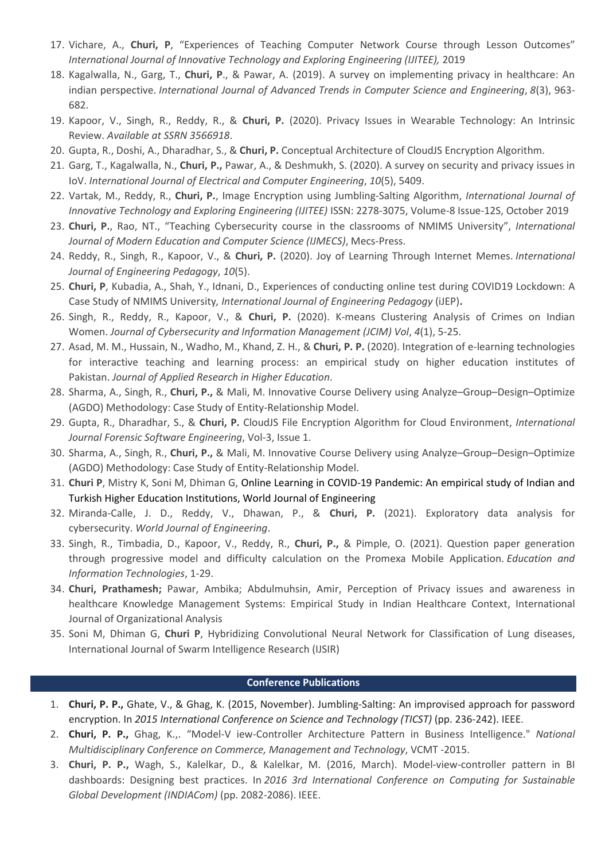- 17. Vichare, A., **Churi, P**, "Experiences of Teaching Computer Network Course through Lesson Outcomes" *International Journal of Innovative Technology and Exploring Engineering (IJITEE),* 2019
- 18. Kagalwalla, N., Garg, T., **Churi, P**., & Pawar, A. (2019). A survey on implementing privacy in healthcare: An indian perspective. *International Journal of Advanced Trends in Computer Science and Engineering*, 8(3), 963-682.
- 19. Kapoor, V., Singh, R., Reddy, R., & **Churi, P.** (2020). Privacy Issues in Wearable Technology: An Intrinsic Review. *Available at SSRN 3566918*.
- 20. Gupta, R., Doshi, A., Dharadhar, S., & **Churi, P.** Conceptual Architecture of CloudJS Encryption Algorithm.
- 21. Garg, T., Kagalwalla, N., **Churi, P.,** Pawar, A., & Deshmukh, S. (2020). A survey on security and privacy issues in IoV. *International Journal of Electrical and Computer Engineering*, *10*(5), 5409.
- 22. Vartak, M., Reddy, R., **Churi, P.**, Image Encryption using Jumbling-Salting Algorithm, *International Journal of Innovative Technology and Exploring Engineering (IJITEE)* ISSN: 2278-3075, Volume-8 Issue-12S, October 2019
- 23. **Churi, P.**, Rao, NT., "Teaching Cybersecurity course in the classrooms of NMIMS University", *International Journal of Modern Education and Computer Science (IJMECS)*, Mecs-Press.
- 24. Reddy, R., Singh, R., Kapoor, V., & **Churi, P.** (2020). Joy of Learning Through Internet Memes. *International Journal of Engineering Pedagogy*, *10*(5).
- 25. **Churi, P**, Kubadia, A., Shah, Y., Idnani, D., Experiences of conducting online test during COVID19 Lockdown: A Case Study of NMIMS University*, International Journal of Engineering Pedagogy* (iJEP)**.**
- 26. Singh, R., Reddy, R., Kapoor, V., & **Churi, P.** (2020). K-means Clustering Analysis of Crimes on Indian Women. *Journal of Cybersecurity and Information Management (JCIM) Vol*, *4*(1), 5-25.
- 27. Asad, M. M., Hussain, N., Wadho, M., Khand, Z. H., & **Churi, P. P.** (2020). Integration of e-learning technologies for interactive teaching and learning process: an empirical study on higher education institutes of Pakistan. *Journal of Applied Research in Higher Education*.
- 28. Sharma, A., Singh, R., **Churi, P.,** & Mali, M. Innovative Course Delivery using Analyze–Group–Design–Optimize (AGDO) Methodology: Case Study of Entity-Relationship Model.
- 29. Gupta, R., Dharadhar, S., & **Churi, P.** CloudJS File Encryption Algorithm for Cloud Environment, *International Journal Forensic Software Engineering*, Vol-3, Issue 1.
- 30. Sharma, A., Singh, R., **Churi, P.,** & Mali, M. Innovative Course Delivery using Analyze–Group–Design–Optimize (AGDO) Methodology: Case Study of Entity-Relationship Model.
- 31. **Churi P**, Mistry K, Soni M, Dhiman G, Online Learning in COVID-19 Pandemic: An empirical study of Indian and Turkish Higher Education Institutions, World Journal of Engineering
- 32. Miranda-Calle, J. D., Reddy, V., Dhawan, P., & **Churi, P.** (2021). Exploratory data analysis for cybersecurity. *World Journal of Engineering*.
- 33. Singh, R., Timbadia, D., Kapoor, V., Reddy, R., **Churi, P.,** & Pimple, O. (2021). Question paper generation through progressive model and difficulty calculation on the Promexa Mobile Application. *Education and Information Technologies*, 1-29.
- 34. **Churi, Prathamesh;** Pawar, Ambika; Abdulmuhsin, Amir, Perception of Privacy issues and awareness in healthcare Knowledge Management Systems: Empirical Study in Indian Healthcare Context, International Journal of Organizational Analysis
- 35. Soni M, Dhiman G, **Churi P**, Hybridizing Convolutional Neural Network for Classification of Lung diseases, International Journal of Swarm Intelligence Research (IJSIR)

#### **Conference Publications**

- 1. **Churi, P. P.,** Ghate, V., & Ghag, K. (2015, November). Jumbling-Salting: An improvised approach for password encryption. In *2015 International Conference on Science and Technology (TICST)* (pp. 236-242). IEEE.
- 2. **Churi, P. P.,** Ghag, K.,. "Model-V iew-Controller Architecture Pattern in Business Intelligence." *National Multidisciplinary Conference on Commerce, Management and Technology*, VCMT -2015.
- 3. **Churi, P. P.,** Wagh, S., Kalelkar, D., & Kalelkar, M. (2016, March). Model-view-controller pattern in BI dashboards: Designing best practices. In *2016 3rd International Conference on Computing for Sustainable Global Development (INDIACom)* (pp. 2082-2086). IEEE.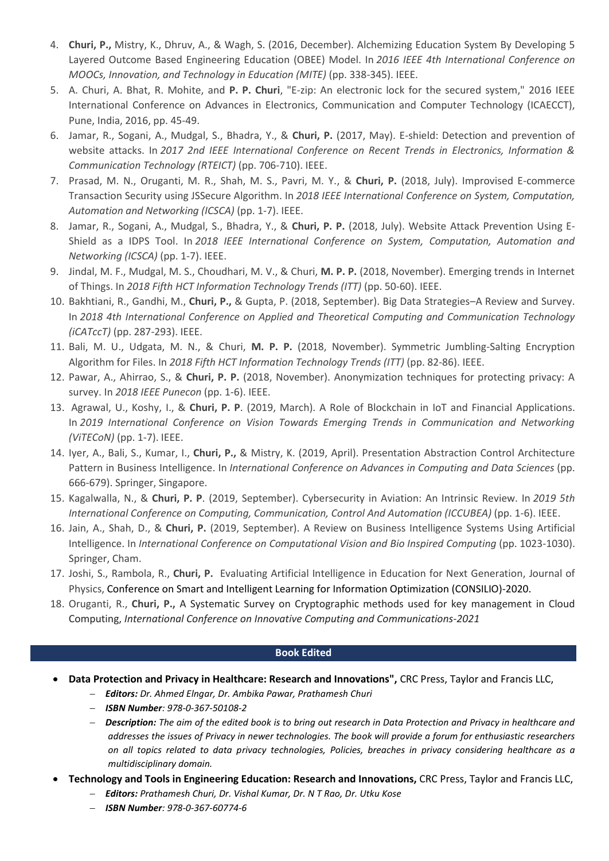- 4. **Churi, P.,** Mistry, K., Dhruv, A., & Wagh, S. (2016, December). Alchemizing Education System By Developing 5 Layered Outcome Based Engineering Education (OBEE) Model. In *2016 IEEE 4th International Conference on MOOCs, Innovation, and Technology in Education (MITE)* (pp. 338-345). IEEE.
- 5. A. Churi, A. Bhat, R. Mohite, and **P. P. Churi**, "E-zip: An electronic lock for the secured system," 2016 IEEE International Conference on Advances in Electronics, Communication and Computer Technology (ICAECCT), Pune, India, 2016, pp. 45-49.
- 6. Jamar, R., Sogani, A., Mudgal, S., Bhadra, Y., & **Churi, P.** (2017, May). E-shield: Detection and prevention of website attacks. In *2017 2nd IEEE International Conference on Recent Trends in Electronics, Information & Communication Technology (RTEICT)* (pp. 706-710). IEEE.
- 7. Prasad, M. N., Oruganti, M. R., Shah, M. S., Pavri, M. Y., & **Churi, P.** (2018, July). Improvised E-commerce Transaction Security using JSSecure Algorithm. In *2018 IEEE International Conference on System, Computation, Automation and Networking (ICSCA)* (pp. 1-7). IEEE.
- 8. Jamar, R., Sogani, A., Mudgal, S., Bhadra, Y., & **Churi, P. P.** (2018, July). Website Attack Prevention Using E-Shield as a IDPS Tool. In *2018 IEEE International Conference on System, Computation, Automation and Networking (ICSCA)* (pp. 1-7). IEEE.
- 9. Jindal, M. F., Mudgal, M. S., Choudhari, M. V., & Churi, **M. P. P.** (2018, November). Emerging trends in Internet of Things. In *2018 Fifth HCT Information Technology Trends (ITT)* (pp. 50-60). IEEE.
- 10. Bakhtiani, R., Gandhi, M., **Churi, P.,** & Gupta, P. (2018, September). Big Data Strategies–A Review and Survey. In *2018 4th International Conference on Applied and Theoretical Computing and Communication Technology (iCATccT)* (pp. 287-293). IEEE.
- 11. Bali, M. U., Udgata, M. N., & Churi, **M. P. P.** (2018, November). Symmetric Jumbling-Salting Encryption Algorithm for Files. In *2018 Fifth HCT Information Technology Trends (ITT)* (pp. 82-86). IEEE.
- 12. Pawar, A., Ahirrao, S., & **Churi, P. P.** (2018, November). Anonymization techniques for protecting privacy: A survey. In *2018 IEEE Punecon* (pp. 1-6). IEEE.
- 13. Agrawal, U., Koshy, I., & **Churi, P. P**. (2019, March). A Role of Blockchain in IoT and Financial Applications. In *2019 International Conference on Vision Towards Emerging Trends in Communication and Networking (ViTECoN)* (pp. 1-7). IEEE.
- 14. Iyer, A., Bali, S., Kumar, I., **Churi, P.,** & Mistry, K. (2019, April). Presentation Abstraction Control Architecture Pattern in Business Intelligence. In *International Conference on Advances in Computing and Data Sciences* (pp. 666-679). Springer, Singapore.
- 15. Kagalwalla, N., & **Churi, P. P**. (2019, September). Cybersecurity in Aviation: An Intrinsic Review. In *2019 5th International Conference on Computing, Communication, Control And Automation (ICCUBEA)* (pp. 1-6). IEEE.
- 16. Jain, A., Shah, D., & **Churi, P.** (2019, September). A Review on Business Intelligence Systems Using Artificial Intelligence. In *International Conference on Computational Vision and Bio Inspired Computing* (pp. 1023-1030). Springer, Cham.
- 17. Joshi, S., Rambola, R., **Churi, P.** Evaluating Artificial Intelligence in Education for Next Generation, Journal of Physics, Conference on Smart and Intelligent Learning for Information Optimization (CONSILIO)-2020.
- 18. Oruganti, R., **Churi, P.,** A Systematic Survey on Cryptographic methods used for key management in Cloud Computing, *International Conference on Innovative Computing and Communications-2021*

#### **Book Edited**

- **Data Protection and Privacy in Healthcare: Research and Innovations",** CRC Press, Taylor and Francis LLC,
	- − *Editors: Dr. Ahmed Elngar, Dr. Ambika Pawar, Prathamesh Churi*
	- − *ISBN Number: 978-0-367-50108-2*
	- − *Description: The aim of the edited book is to bring out research in Data Protection and Privacy in healthcare and addresses the issues of Privacy in newer technologies. The book will provide a forum for enthusiastic researchers on all topics related to data privacy technologies, Policies, breaches in privacy considering healthcare as a multidisciplinary domain.*
- **Technology and Tools in Engineering Education: Research and Innovations,** CRC Press, Taylor and Francis LLC,
	- − *Editors: Prathamesh Churi, Dr. Vishal Kumar, Dr. N T Rao, Dr. Utku Kose*
	- − *ISBN Number: 978-0-367-60774-6*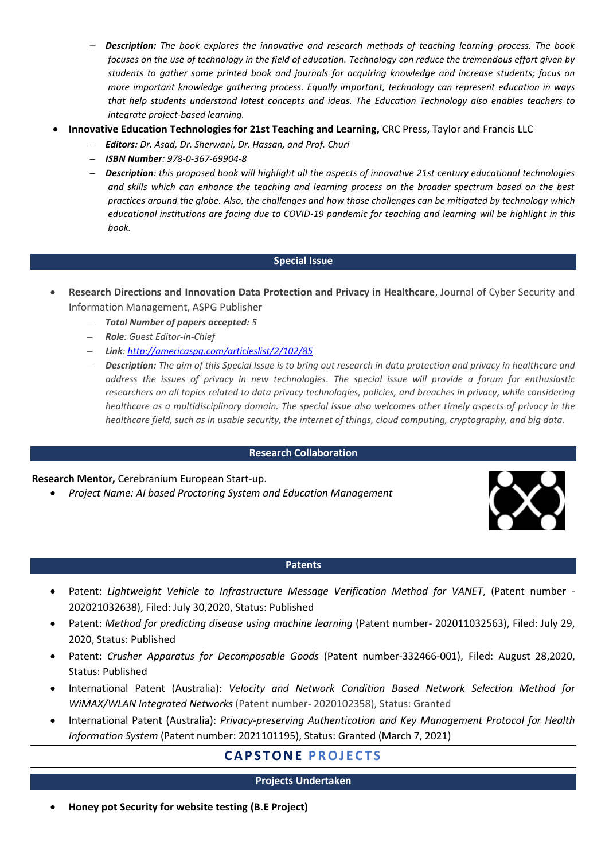- − *Description: The book explores the innovative and research methods of teaching learning process. The book focuses on the use of technology in the field of education. Technology can reduce the tremendous effort given by students to gather some printed book and journals for acquiring knowledge and increase students; focus on more important knowledge gathering process. Equally important, technology can represent education in ways that help students understand latest concepts and ideas. The Education Technology also enables teachers to integrate project-based learning.*
- **Innovative Education Technologies for 21st Teaching and Learning,** CRC Press, Taylor and Francis LLC
	- − *Editors: Dr. Asad, Dr. Sherwani, Dr. Hassan, and Prof. Churi*
	- − *ISBN Number: 978-0-367-69904-8*
	- − *Description: this proposed book will highlight all the aspects of innovative 21st century educational technologies and skills which can enhance the teaching and learning process on the broader spectrum based on the best practices around the globe. Also, the challenges and how those challenges can be mitigated by technology which educational institutions are facing due to COVID-19 pandemic for teaching and learning will be highlight in this book.*

#### **Special Issue**

- **Research Directions and Innovation Data Protection and Privacy in Healthcare**, Journal of Cyber Security and Information Management, ASPG Publisher
	- − *Total Number of papers accepted: 5*
	- − *Role: Guest Editor-in-Chief*
	- − *Link: <http://americaspg.com/articleslist/2/102/85>*
	- − *Description: The aim of this Special Issue is to bring out research in data protection and privacy in healthcare and address the issues of privacy in new technologies. The special issue will provide a forum for enthusiastic researchers on all topics related to data privacy technologies, policies, and breaches in privacy, while considering healthcare as a multidisciplinary domain. The special issue also welcomes other timely aspects of privacy in the healthcare field, such as in usable security, the internet of things, cloud computing, cryptography, and big data.*

#### **Research Collaboration**

#### **Research Mentor,** Cerebranium European Start-up.

• *Project Name: AI based Proctoring System and Education Management*



#### **Patents**

- Patent: *Lightweight Vehicle to Infrastructure Message Verification Method for VANET*, (Patent number 202021032638), Filed: July 30,2020, Status: Published
- Patent: *Method for predicting disease using machine learning* (Patent number- 202011032563), Filed: July 29, 2020, Status: Published
- Patent: *Crusher Apparatus for Decomposable Goods* (Patent number-332466-001), Filed: August 28,2020, Status: Published
- International Patent (Australia): *Velocity and Network Condition Based Network Selection Method for WiMAX/WLAN Integrated Networks* (Patent number- 2020102358), Status: Granted
- International Patent (Australia): *Privacy-preserving Authentication and Key Management Protocol for Health Information System* (Patent number: 2021101195), Status: Granted (March 7, 2021)

# **CA P S T O N E P R O J E C T S**

#### **Projects Undertaken**

• **Honey pot Security for website testing (B.E Project)**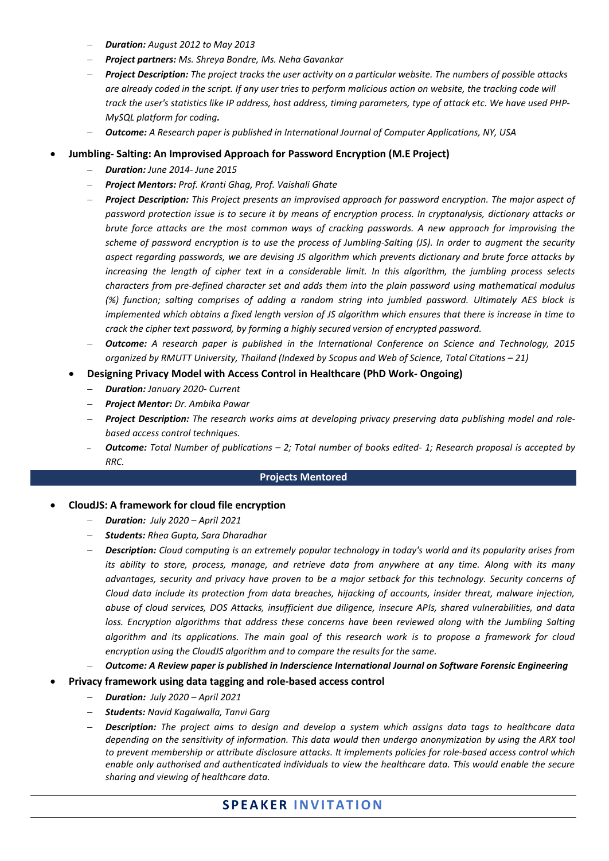- − *Duration: August 2012 to May 2013*
- − *Project partners: Ms. Shreya Bondre, Ms. Neha Gavankar*
- − *Project Description: The project tracks the user activity on a particular website. The numbers of possible attacks are already coded in the script. If any user tries to perform malicious action on website, the tracking code will track the user's statistics like IP address, host address, timing parameters, type of attack etc. We have used PHP-MySQL platform for coding.*
- − *Outcome: A Research paper is published in International Journal of Computer Applications, NY, USA*
- **Jumbling- Salting: An Improvised Approach for Password Encryption (M.E Project)**
	- − *Duration: June 2014- June 2015*
	- − *Project Mentors: Prof. Kranti Ghag, Prof. Vaishali Ghate*
	- − *Project Description: This Project presents an improvised approach for password encryption. The major aspect of password protection issue is to secure it by means of encryption process. In cryptanalysis, dictionary attacks or brute force attacks are the most common ways of cracking passwords. A new approach for improvising the scheme of password encryption is to use the process of Jumbling-Salting (JS). In order to augment the security aspect regarding passwords, we are devising JS algorithm which prevents dictionary and brute force attacks by increasing the length of cipher text in a considerable limit. In this algorithm, the jumbling process selects characters from pre-defined character set and adds them into the plain password using mathematical modulus (%) function; salting comprises of adding a random string into jumbled password. Ultimately AES block is implemented which obtains a fixed length version of JS algorithm which ensures that there is increase in time to crack the cipher text password, by forming a highly secured version of encrypted password.*
	- − *Outcome: A research paper is published in the International Conference on Science and Technology, 2015 organized by RMUTT University, Thailand (Indexed by Scopus and Web of Science, Total Citations – 21)*
	- **Designing Privacy Model with Access Control in Healthcare (PhD Work- Ongoing)**
		- − *Duration: January 2020- Current*
		- − *Project Mentor: Dr. Ambika Pawar*
		- − *Project Description: The research works aims at developing privacy preserving data publishing model and rolebased access control techniques.*
		- <sup>−</sup> *Outcome: Total Number of publications – 2; Total number of books edited- 1; Research proposal is accepted by RRC.*

#### **Projects Mentored**

#### • **CloudJS: A framework for cloud file encryption**

- − *Duration: July 2020 – April 2021*
- − *Students: Rhea Gupta, Sara Dharadhar*
- − *Description: Cloud computing is an extremely popular technology in today's world and its popularity arises from its ability to store, process, manage, and retrieve data from anywhere at any time. Along with its many advantages, security and privacy have proven to be a major setback for this technology. Security concerns of Cloud data include its protection from data breaches, hijacking of accounts, insider threat, malware injection, abuse of cloud services, DOS Attacks, insufficient due diligence, insecure APIs, shared vulnerabilities, and data*  loss. Encryption algorithms that address these concerns have been reviewed along with the Jumbling Salting *algorithm and its applications. The main goal of this research work is to propose a framework for cloud encryption using the CloudJS algorithm and to compare the results for the same.*
- − *Outcome: A Review paper is published in Inderscience International Journal on Software Forensic Engineering*
- **Privacy framework using data tagging and role-based access control**
	- − *Duration: July 2020 – April 2021*
	- − *Students: Navid Kagalwalla, Tanvi Garg*
	- − *Description: The project aims to design and develop a system which assigns data tags to healthcare data depending on the sensitivity of information. This data would then undergo anonymization by using the ARX tool to prevent membership or attribute disclosure attacks. It implements policies for role-based access control which enable only authorised and authenticated individuals to view the healthcare data. This would enable the secure sharing and viewing of healthcare data.*

### **S P E A K E R I N V I T A T I O N**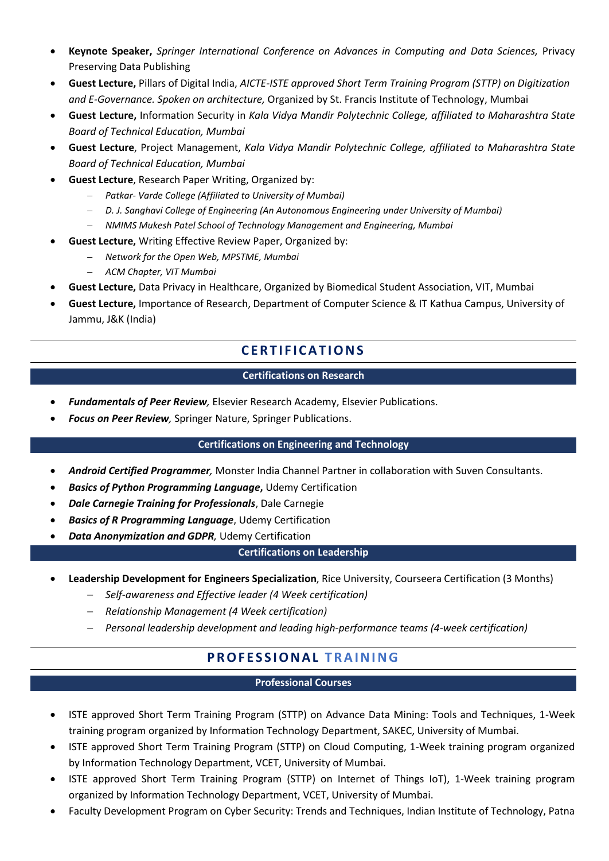- **Keynote Speaker,** *Springer International Conference on Advances in Computing and Data Sciences,* Privacy Preserving Data Publishing
- **Guest Lecture,** Pillars of Digital India, *AICTE-ISTE approved Short Term Training Program (STTP) on Digitization and E-Governance. Spoken on architecture,* Organized by St. Francis Institute of Technology, Mumbai
- **Guest Lecture,** Information Security in *Kala Vidya Mandir Polytechnic College, affiliated to Maharashtra State Board of Technical Education, Mumbai*
- **Guest Lecture**, Project Management, *Kala Vidya Mandir Polytechnic College, affiliated to Maharashtra State Board of Technical Education, Mumbai*
- **Guest Lecture**, Research Paper Writing, Organized by:
	- − *Patkar- Varde College (Affiliated to University of Mumbai)*
	- − *D. J. Sanghavi College of Engineering (An Autonomous Engineering under University of Mumbai)*
	- − *NMIMS Mukesh Patel School of Technology Management and Engineering, Mumbai*
- **Guest Lecture,** Writing Effective Review Paper, Organized by:
	- − *Network for the Open Web, MPSTME, Mumbai*
	- − *ACM Chapter, VIT Mumbai*
- **Guest Lecture,** Data Privacy in Healthcare, Organized by Biomedical Student Association, VIT, Mumbai
- **Guest Lecture,** Importance of Research, Department of Computer Science & IT Kathua Campus, University of Jammu, J&K (India)

# **C E R T I F I C A T I O N S**

### **Certifications on Research**

- *Fundamentals of Peer Review,* Elsevier Research Academy, Elsevier Publications.
- *Focus on Peer Review,* Springer Nature, Springer Publications.

### **Certifications on Engineering and Technology**

- *Android Certified Programmer,* Monster India Channel Partner in collaboration with Suven Consultants.
- *Basics of Python Programming Language***,** Udemy Certification
- *Dale Carnegie Training for Professionals*, Dale Carnegie
- *Basics of R Programming Language*, Udemy Certification
- *Data Anonymization and GDPR,* Udemy Certification

## **Certifications on Leadership**

- **Leadership Development for Engineers Specialization**, Rice University, Courseera Certification (3 Months)
	- − *Self-awareness and Effective leader (4 Week certification)*
	- − *Relationship Management (4 Week certification)*
	- − *Personal leadership development and leading high-performance teams (4-week certification)*

# **PR O F E S S I O N A L T R A I N IN G**

### **Professional Courses**

- ISTE approved Short Term Training Program (STTP) on Advance Data Mining: Tools and Techniques, 1-Week training program organized by Information Technology Department, SAKEC, University of Mumbai.
- ISTE approved Short Term Training Program (STTP) on Cloud Computing, 1-Week training program organized by Information Technology Department, VCET, University of Mumbai.
- ISTE approved Short Term Training Program (STTP) on Internet of Things IoT), 1-Week training program organized by Information Technology Department, VCET, University of Mumbai.
- Faculty Development Program on Cyber Security: Trends and Techniques, Indian Institute of Technology, Patna